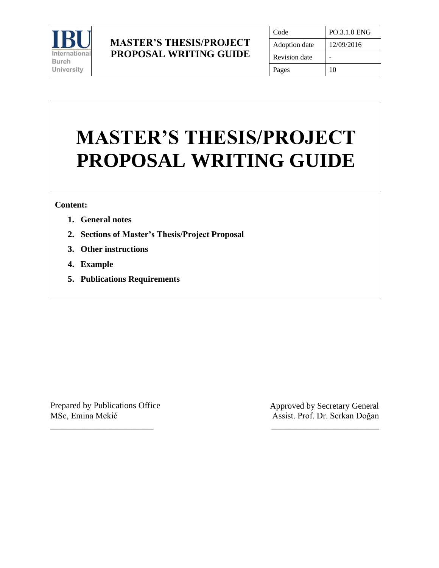

## **MASTER'S THESIS/PROJECT PROPOSAL WRITING GUIDE**

| Code                 | PO.3.1.0 ENG |
|----------------------|--------------|
| Adoption date        | 12/09/2016   |
| <b>Revision</b> date |              |
| Pages                | 10           |

# **MASTER'S THESIS/PROJECT PROPOSAL WRITING GUIDE**

#### **Content:**

- **1. General notes**
- **2. Sections of Master's Thesis/Project Proposal**
- **3. Other instructions**
- **4. Example**
- **5. Publications Requirements**

Prepared by Publications Office MSc, Emina Mekić

\_\_\_\_\_\_\_\_\_\_\_\_\_\_\_\_\_\_\_\_\_\_\_\_

Approved by Secretary General Assist. Prof. Dr. Serkan Doğan

\_\_\_\_\_\_\_\_\_\_\_\_\_\_\_\_\_\_\_\_\_\_\_\_\_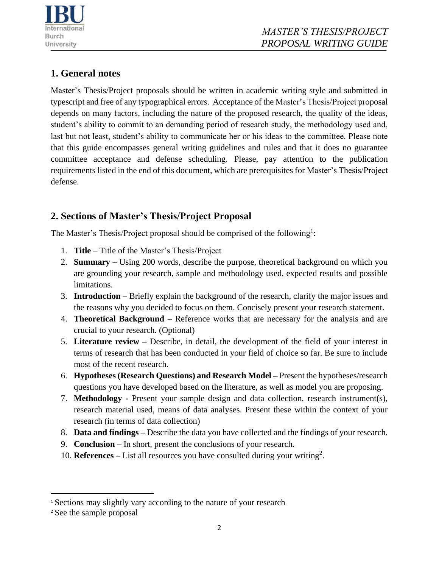

## **1. General notes**

Master's Thesis/Project proposals should be written in academic writing style and submitted in typescript and free of any typographical errors. Acceptance of the Master's Thesis/Project proposal depends on many factors, including the nature of the proposed research, the quality of the ideas, student's ability to commit to an demanding period of research study, the methodology used and, last but not least, student's ability to communicate her or his ideas to the committee. Please note that this guide encompasses general writing guidelines and rules and that it does no guarantee committee acceptance and defense scheduling. Please, pay attention to the publication requirements listed in the end of this document, which are prerequisites for Master's Thesis/Project defense.

## **2. Sections of Master's Thesis/Project Proposal**

The Master's Thesis/Project proposal should be comprised of the following<sup>1</sup>:

- 1. **Title**  Title of the Master's Thesis/Project
- 2. **Summary** Using 200 words, describe the purpose, theoretical background on which you are grounding your research, sample and methodology used, expected results and possible limitations.
- 3. **Introduction**  Briefly explain the background of the research, clarify the major issues and the reasons why you decided to focus on them. Concisely present your research statement.
- 4. **Theoretical Background**  Reference works that are necessary for the analysis and are crucial to your research. (Optional)
- 5. **Literature review –** Describe, in detail, the development of the field of your interest in terms of research that has been conducted in your field of choice so far. Be sure to include most of the recent research.
- 6. **Hypotheses (Research Questions) and Research Model –** Present the hypotheses/research questions you have developed based on the literature, as well as model you are proposing.
- 7. **Methodology -** Present your sample design and data collection, research instrument(s), research material used, means of data analyses. Present these within the context of your research (in terms of data collection)
- 8. **Data and findings –** Describe the data you have collected and the findings of your research.
- 9. **Conclusion –** In short, present the conclusions of your research.
- 10. **References –** List all resources you have consulted during your writing<sup>2</sup> .

<sup>&</sup>lt;sup>1</sup> Sections may slightly vary according to the nature of your research

<sup>2</sup> See the sample proposal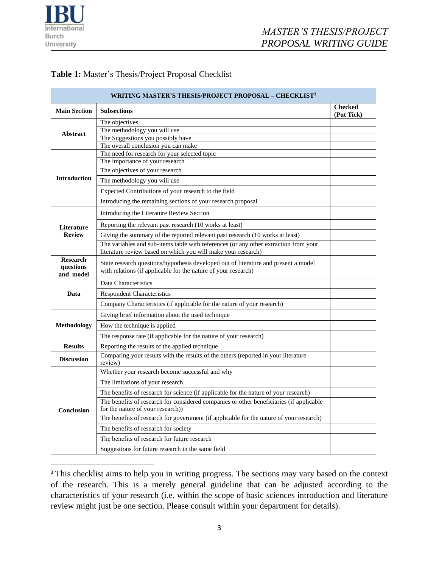

#### **Table 1:** Master's Thesis/Project Proposal Checklist

| <b>WRITING MASTER'S THESIS/PROJECT PROPOSAL – CHECKLIST<sup>3</sup></b> |                                                                                                                                                                                                                                                                                                                                                                                                                                                                                                |                              |  |  |  |
|-------------------------------------------------------------------------|------------------------------------------------------------------------------------------------------------------------------------------------------------------------------------------------------------------------------------------------------------------------------------------------------------------------------------------------------------------------------------------------------------------------------------------------------------------------------------------------|------------------------------|--|--|--|
| <b>Main Section</b>                                                     | <b>Subsections</b>                                                                                                                                                                                                                                                                                                                                                                                                                                                                             | <b>Checked</b><br>(Put Tick) |  |  |  |
| Abstract                                                                | The objectives<br>The methodology you will use<br>The Suggestions you possibly have<br>The overall conclusion you can make                                                                                                                                                                                                                                                                                                                                                                     |                              |  |  |  |
| <b>Introduction</b>                                                     | The need for research for your selected topic<br>The importance of your research<br>The objectives of your research<br>The methodology you will use<br>Expected Contributions of your research to the field<br>Introducing the remaining sections of your research proposal                                                                                                                                                                                                                    |                              |  |  |  |
| Literature<br><b>Review</b>                                             | Introducing the Literature Review Section<br>Reporting the relevant past research (10 works at least)<br>Giving the summary of the reported relevant past research (10 works at least)<br>The variables and sub-items table with references (or any other extraction from your<br>literature review based on which you will make your research)                                                                                                                                                |                              |  |  |  |
| <b>Research</b><br>questions<br>and model                               | State research questions/hypothesis developed out of literature and present a model<br>with relations (if applicable for the nature of your research)                                                                                                                                                                                                                                                                                                                                          |                              |  |  |  |
| Data                                                                    | Data Characteristics<br><b>Respondent Characteristics</b><br>Company Characteristics (if applicable for the nature of your research)                                                                                                                                                                                                                                                                                                                                                           |                              |  |  |  |
| Methodology                                                             | Giving brief information about the used technique<br>How the technique is applied<br>The response rate (if applicable for the nature of your research)                                                                                                                                                                                                                                                                                                                                         |                              |  |  |  |
| <b>Results</b>                                                          | Reporting the results of the applied technique                                                                                                                                                                                                                                                                                                                                                                                                                                                 |                              |  |  |  |
| <b>Discussion</b>                                                       | Comparing your results with the results of the others (reported in your literature<br>review)                                                                                                                                                                                                                                                                                                                                                                                                  |                              |  |  |  |
| <b>Conclusion</b>                                                       | Whether your research become successful and why<br>The limitations of your research<br>The benefits of research for science (if applicable for the nature of your research)<br>The benefits of research for considered companies or other beneficiaries (if applicable<br>for the nature of your research))<br>The benefits of research for government (if applicable for the nature of your research)<br>The benefits of research for society<br>The benefits of research for future research |                              |  |  |  |
|                                                                         | Suggestions for future research in the same field                                                                                                                                                                                                                                                                                                                                                                                                                                              |                              |  |  |  |

<sup>&</sup>lt;sup>3</sup> This checklist aims to help you in writing progress. The sections may vary based on the context of the research. This is a merely general guideline that can be adjusted according to the characteristics of your research (i.e. within the scope of basic sciences introduction and literature review might just be one section. Please consult within your department for details).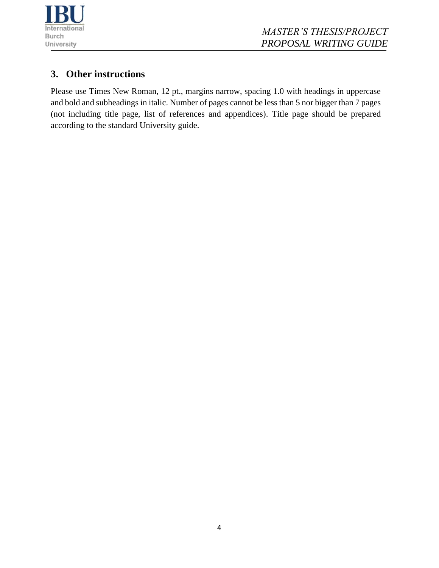

## **3. Other instructions**

Please use Times New Roman, 12 pt., margins narrow, spacing 1.0 with headings in uppercase and bold and subheadings in italic. Number of pages cannot be less than 5 nor bigger than 7 pages (not including title page, list of references and appendices). Title page should be prepared according to the standard University guide.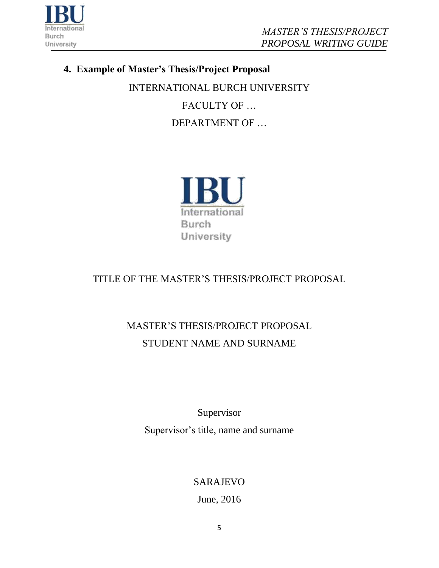

## **4. Example of Master's Thesis/Project Proposal**

INTERNATIONAL BURCH UNIVERSITY FACULTY OF … DEPARTMENT OF …



## TITLE OF THE MASTER'S THESIS/PROJECT PROPOSAL

## MASTER'S THESIS/PROJECT PROPOSAL STUDENT NAME AND SURNAME

Supervisor Supervisor's title, name and surname

## SARAJEVO

June, 2016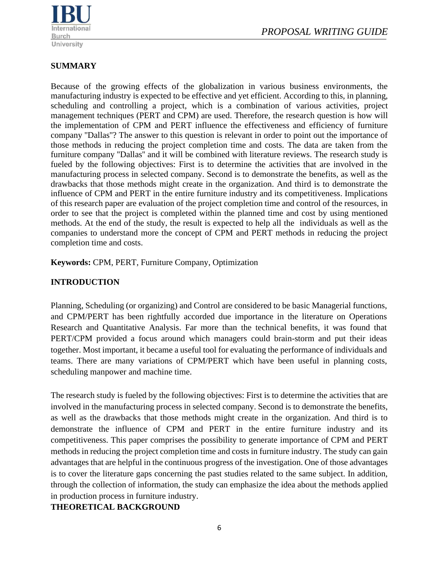

### **SUMMARY**

Because of the growing effects of the globalization in various business environments, the manufacturing industry is expected to be effective and yet efficient. According to this, in planning, scheduling and controlling a project, which is a combination of various activities, project management techniques (PERT and CPM) are used. Therefore, the research question is how will the implementation of CPM and PERT influence the effectiveness and efficiency of furniture company ''Dallas''? The answer to this question is relevant in order to point out the importance of those methods in reducing the project completion time and costs. The data are taken from the furniture company ''Dallas'' and it will be combined with literature reviews. The research study is fueled by the following objectives: First is to determine the activities that are involved in the manufacturing process in selected company. Second is to demonstrate the benefits, as well as the drawbacks that those methods might create in the organization. And third is to demonstrate the influence of CPM and PERT in the entire furniture industry and its competitiveness. Implications of this research paper are evaluation of the project completion time and control of the resources, in order to see that the project is completed within the planned time and cost by using mentioned methods. At the end of the study, the result is expected to help all the [individuals](http://ivythesis.typepad.com/term_paper_topics/2008/05/collaboration-a.html) as well as the [companies](http://ivythesis.typepad.com/term_paper_topics/human_resource_management_of_airline_companies/) to understand more the concept of CPM and PERT methods in reducing the project completion time and costs.

**Keywords:** CPM, PERT, Furniture Company, Optimization

## **INTRODUCTION**

Planning, Scheduling (or organizing) and Control are considered to be basic Managerial functions, and CPM/PERT has been rightfully accorded due importance in the literature on Operations Research and Quantitative Analysis. Far more than the technical benefits, it was found that PERT/CPM provided a focus around which managers could brain-storm and put their ideas together. Most important, it became a useful tool for evaluating the performance of individuals and teams. There are many variations of CPM/PERT which have been useful in planning costs, scheduling manpower and machine time.

The research study is fueled by the following objectives: First is to determine the activities that are involved in the manufacturing process in selected company. Second is to demonstrate the benefits, as well as the drawbacks that those methods might create in the organization. And third is to demonstrate the influence of CPM and PERT in the entire furniture industry and its competitiveness. This paper comprises the possibility to generate importance of CPM and PERT methods in reducing the project completion time and costs in furniture industry. The study can gain advantages that are helpful in the continuous progress of the investigation. One of those advantages is to cover the literature gaps concerning the past studies related to the same subject. In addition, through the collection of information, the study can emphasize the idea about the methods applied in production process in furniture industry.

#### **THEORETICAL BACKGROUND**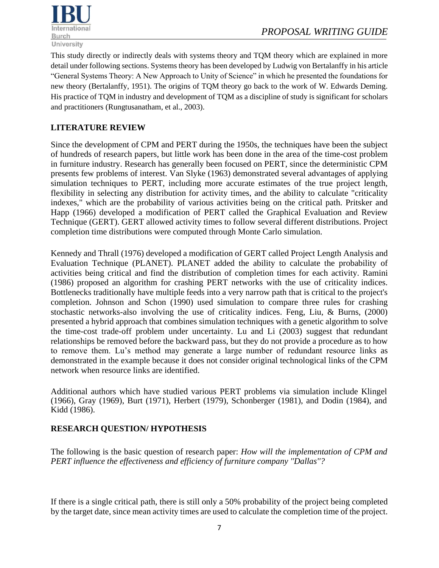

This study directly or indirectly deals with systems theory and TQM theory which are explained in more detail under following sections. Systems theory has been developed by Ludwig von Bertalanffy in his article "General Systems Theory: A New Approach to Unity of Science" in which he presented the foundations for new theory (Bertalanffy, 1951). The origins of TQM theory go back to the work of W. Edwards Deming. His practice of TQM in industry and development of TQM as a discipline of study is significant for scholars and practitioners (Rungtusanatham, et al., 2003).

#### **LITERATURE REVIEW**

Since the development of CPM and PERT during the 1950s, the techniques have been the subject of hundreds of research papers, but little work has been done in the area of the time-cost problem in furniture industry. Research has generally been focused on PERT, since the deterministic CPM presents few problems of interest. Van Slyke (1963) demonstrated several advantages of applying simulation techniques to PERT, including more accurate estimates of the true project length, flexibility in selecting any distribution for activity times, and the ability to calculate "criticality indexes," which are the probability of various activities being on the critical path. Pritsker and Happ (1966) developed a modification of PERT called the Graphical Evaluation and Review Technique (GERT). GERT allowed activity times to follow several different distributions. Project completion time distributions were computed through Monte Carlo simulation.

Kennedy and Thrall (1976) developed a modification of GERT called Project Length Analysis and Evaluation Technique (PLANET). PLANET added the ability to calculate the probability of activities being critical and find the distribution of completion times for each activity. Ramini (1986) proposed an algorithm for crashing PERT networks with the use of criticality indices. Bottlenecks traditionally have multiple feeds into a very narrow path that is critical to the project's completion. Johnson and Schon (1990) used simulation to compare three rules for crashing stochastic networks-also involving the use of criticality indices. Feng, Liu, & Burns, (2000) presented a hybrid approach that combines simulation techniques with a genetic algorithm to solve the time-cost trade-off problem under uncertainty. Lu and Li (2003) suggest that redundant relationships be removed before the backward pass, but they do not provide a procedure as to how to remove them. Lu's method may generate a large number of redundant resource links as demonstrated in the example because it does not consider original technological links of the CPM network when resource links are identified.

Additional authors which have studied various PERT problems via simulation include Klingel (1966), Gray (1969), Burt (1971), Herbert (1979), Schonberger (1981), and Dodin (1984), and Kidd (1986).

#### **RESEARCH QUESTION/ HYPOTHESIS**

The following is the basic question of research paper: *How will the implementation of CPM and PERT influence the effectiveness and efficiency of furniture company ''Dallas''?*

If there is a single critical path, there is still only a 50% probability of the project being completed by the target date, since mean activity times are used to calculate the completion time of the project.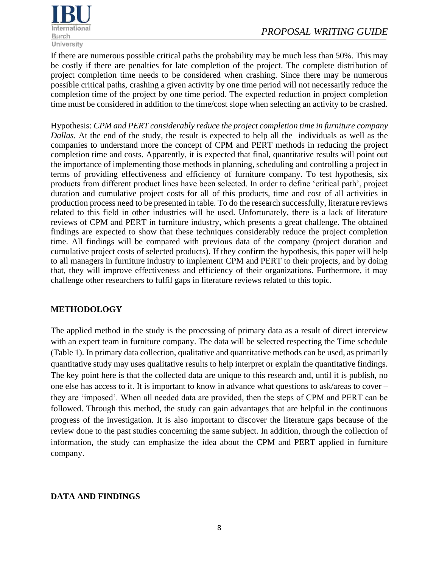

If there are numerous possible critical paths the probability may be much less than 50%. This may be costly if there are penalties for late completion of the project. The complete distribution of project completion time needs to be considered when crashing. Since there may be numerous possible critical paths, crashing a given activity by one time period will not necessarily reduce the completion time of the project by one time period. The expected reduction in project completion time must be considered in addition to the time/cost slope when selecting an activity to be crashed.

Hypothesis: *CPM and PERT considerably reduce the project completion time in furniture company Dallas.* At the end of the study, the result is expected to help all the [individuals](http://ivythesis.typepad.com/term_paper_topics/2008/05/collaboration-a.html) as well as the [companies](http://ivythesis.typepad.com/term_paper_topics/human_resource_management_of_airline_companies/) to understand more the concept of CPM and PERT methods in reducing the project completion time and costs. Apparently, it is expected that final, quantitative results will point out the importance of implementing those methods in planning, scheduling and controlling a project in terms of providing effectiveness and efficiency of furniture company. To test hypothesis, six products from different product lines have been selected. In order to define 'critical path', project duration and cumulative project costs for all of this products, time and cost of all activities in production process need to be presented in table. To do the research successfully, literature reviews related to this field in other industries will be used. Unfortunately, there is a lack of literature reviews of CPM and PERT in furniture industry, which presents a great challenge. The obtained findings are expected to show that these techniques considerably reduce the project completion time. All findings will be compared with previous data of the company (project duration and cumulative project costs of selected products). If they confirm the hypothesis, this paper will help to all managers in furniture industry to implement CPM and PERT to their projects, and by doing that, they will improve effectiveness and efficiency of their organizations. Furthermore, it may challenge other researchers to fulfil gaps in literature reviews related to this topic.

#### **METHODOLOGY**

The applied method in the study is the processing of primary data as a result of direct interview with an expert team in furniture company. The data will be selected respecting the Time schedule (Table 1). In primary data collection, qualitative and quantitative methods can be used, as primarily quantitative study may uses qualitative results to help interpret or explain the quantitative findings. The key point here is that the collected data are unique to this research and, until it is publish, no one else has access to it. It is important to know in advance what questions to ask/areas to cover – they are 'imposed'. When all needed data are provided, then the steps of CPM and PERT can be followed. Through this method, the study can gain advantages that are helpful in the continuous progress of the investigation. It is also important to discover the literature gaps because of the review done to the past studies concerning the same subject. In addition, through the collection of information, the study can emphasize the idea about the CPM and PERT applied in furniture company.

#### **DATA AND FINDINGS**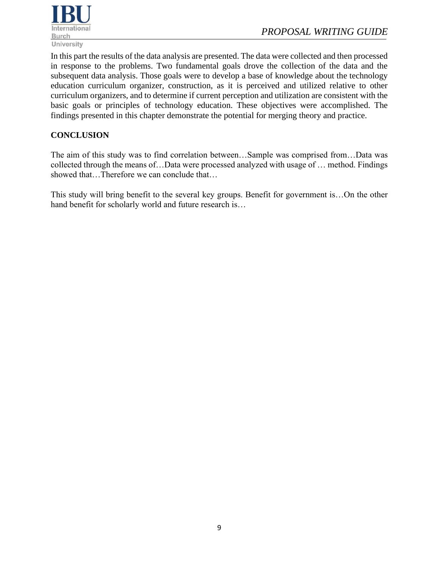

In this part the results of the data analysis are presented. The data were collected and then processed in response to the problems. Two fundamental goals drove the collection of the data and the subsequent data analysis. Those goals were to develop a base of knowledge about the technology education curriculum organizer, construction, as it is perceived and utilized relative to other curriculum organizers, and to determine if current perception and utilization are consistent with the basic goals or principles of technology education. These objectives were accomplished. The findings presented in this chapter demonstrate the potential for merging theory and practice.

#### **CONCLUSION**

The aim of this study was to find correlation between…Sample was comprised from…Data was collected through the means of…Data were processed analyzed with usage of … method. Findings showed that...Therefore we can conclude that...

This study will bring benefit to the several key groups. Benefit for government is…On the other hand benefit for scholarly world and future research is…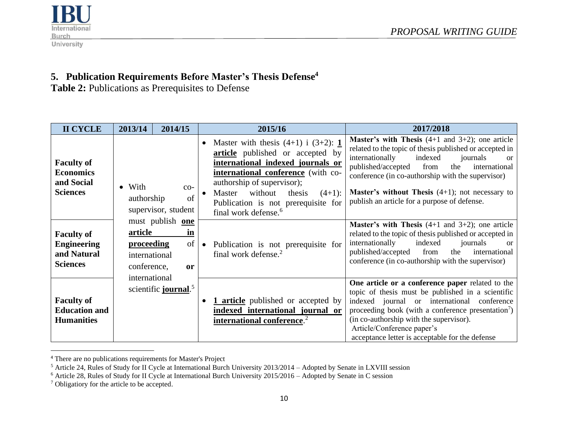



## **5. Publication Requirements Before Master's Thesis Defense<sup>4</sup>**

Table 2: Publications as Prerequisites to Defense

| <b>II CYCLE</b>                                                           | 2013/14                                                      | 2014/15                                       | 2015/16                                                                                                                                                                                                                                                                                                                   | 2017/2018                                                                                                                                                                                                                                                                                                                                                                                                 |
|---------------------------------------------------------------------------|--------------------------------------------------------------|-----------------------------------------------|---------------------------------------------------------------------------------------------------------------------------------------------------------------------------------------------------------------------------------------------------------------------------------------------------------------------------|-----------------------------------------------------------------------------------------------------------------------------------------------------------------------------------------------------------------------------------------------------------------------------------------------------------------------------------------------------------------------------------------------------------|
| <b>Faculty of</b><br><b>Economics</b><br>and Social<br><b>Sciences</b>    | $\bullet$ With<br>authorship                                 | $CO-$<br>of<br>supervisor, student            | Master with thesis $(4+1)$ i $(3+2)$ : 1<br>$\bullet$<br>article published or accepted by<br>international indexed journals or<br>international conference (with co-<br>authorship of supervisor);<br>without<br>Master<br>thesis<br>$(4+1)$ :<br>Publication is not prerequisite for<br>final work defense. <sup>6</sup> | <b>Master's with Thesis</b> $(4+1$ and $3+2)$ ; one article<br>related to the topic of thesis published or accepted in<br>internationally<br>indexed<br>journals<br><sub>or</sub><br>published/accepted<br>the<br>international<br>from<br>conference (in co-authorship with the supervisor)<br><b>Master's without Thesis</b> $(4+1)$ ; not necessary to<br>publish an article for a purpose of defense. |
| <b>Faculty of</b><br><b>Engineering</b><br>and Natural<br><b>Sciences</b> | article<br><b>proceeding</b><br>international<br>conference, | must publish one<br>in<br>of<br><sub>or</sub> | Publication is not prerequisite for<br>final work defense. <sup>2</sup>                                                                                                                                                                                                                                                   | <b>Master's with Thesis</b> $(4+1$ and $3+2)$ ; one article<br>related to the topic of thesis published or accepted in<br>internationally<br>indexed<br>journals<br><sub>or</sub><br>published/accepted<br>international<br>the<br>from<br>conference (in co-authorship with the supervisor)                                                                                                              |
| <b>Faculty of</b><br><b>Education and</b><br><b>Humanities</b>            | international                                                | scientific <b>journal</b> . <sup>5</sup>      | <b>1</b> article published or accepted by<br>indexed international journal or<br>international conference. <sup>2</sup>                                                                                                                                                                                                   | One article or a conference paper related to the<br>topic of thesis must be published in a scientific<br>indexed journal or international conference<br>proceeding book (with a conference presentation <sup>7</sup> )<br>(in co-authorship with the supervisor).<br>Article/Conference paper's<br>acceptance letter is acceptable for the defense                                                        |

<sup>4</sup> There are no publications requirements for Master's Project

<sup>&</sup>lt;sup>5</sup> Article 24, Rules of Study for II Cycle at International Burch University 2013/2014 – Adopted by Senate in LXVIII session

<sup>&</sup>lt;sup>6</sup> Article 28, Rules of Study for II Cycle at International Burch University 2015/2016 – Adopted by Senate in C session

<sup>&</sup>lt;sup>7</sup> Obligatiory for the article to be accepted.